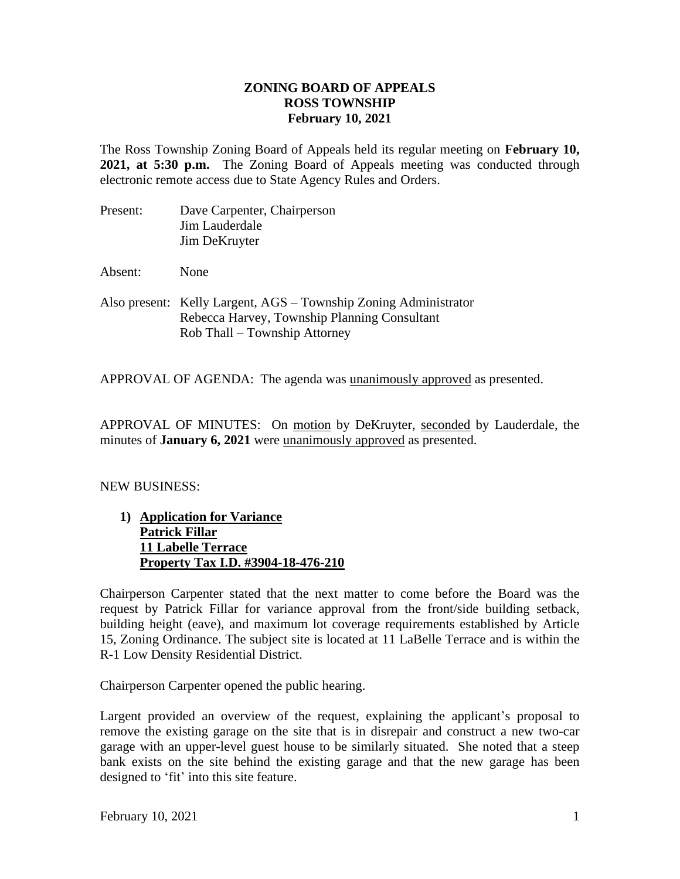## **ZONING BOARD OF APPEALS ROSS TOWNSHIP February 10, 2021**

The Ross Township Zoning Board of Appeals held its regular meeting on **February 10, 2021, at 5:30 p.m.** The Zoning Board of Appeals meeting was conducted through electronic remote access due to State Agency Rules and Orders.

| Present: | Dave Carpenter, Chairperson |
|----------|-----------------------------|
|          | Jim Lauderdale              |
|          | Jim DeKruyter               |

Absent: None

Also present: Kelly Largent, AGS – Township Zoning Administrator Rebecca Harvey, Township Planning Consultant Rob Thall – Township Attorney

APPROVAL OF AGENDA: The agenda was unanimously approved as presented.

APPROVAL OF MINUTES: On motion by DeKruyter, seconded by Lauderdale, the minutes of **January 6, 2021** were unanimously approved as presented.

## NEW BUSINESS:

**1) Application for Variance Patrick Fillar 11 Labelle Terrace Property Tax I.D. #3904-18-476-210**

Chairperson Carpenter stated that the next matter to come before the Board was the request by Patrick Fillar for variance approval from the front/side building setback, building height (eave), and maximum lot coverage requirements established by Article 15, Zoning Ordinance. The subject site is located at 11 LaBelle Terrace and is within the R-1 Low Density Residential District.

Chairperson Carpenter opened the public hearing.

Largent provided an overview of the request, explaining the applicant's proposal to remove the existing garage on the site that is in disrepair and construct a new two-car garage with an upper-level guest house to be similarly situated. She noted that a steep bank exists on the site behind the existing garage and that the new garage has been designed to 'fit' into this site feature.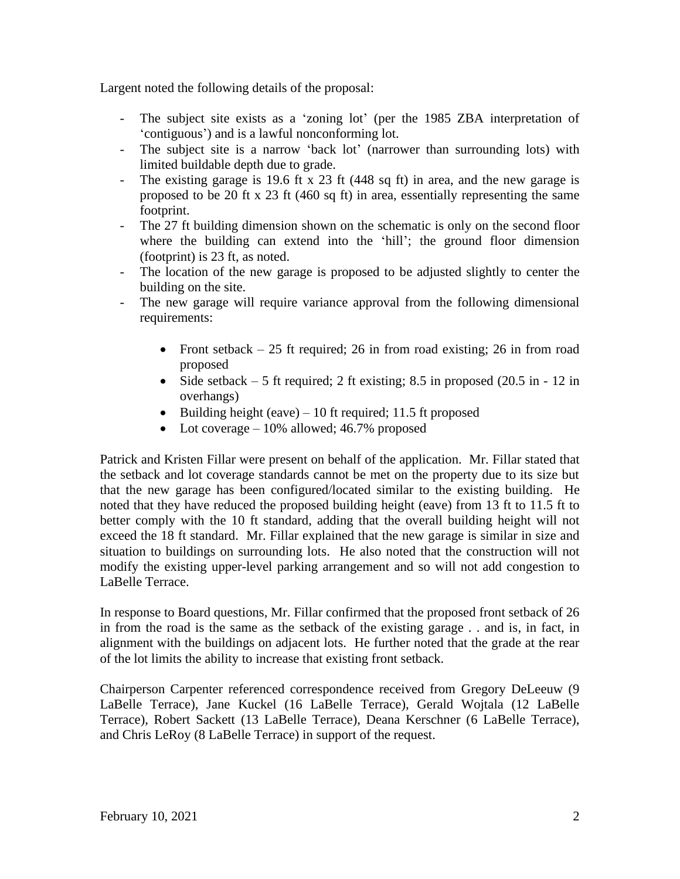Largent noted the following details of the proposal:

- The subject site exists as a 'zoning lot' (per the 1985 ZBA interpretation of 'contiguous') and is a lawful nonconforming lot.
- The subject site is a narrow 'back lot' (narrower than surrounding lots) with limited buildable depth due to grade.
- The existing garage is 19.6 ft x 23 ft (448 sq ft) in area, and the new garage is proposed to be 20 ft x 23 ft (460 sq ft) in area, essentially representing the same footprint.
- The 27 ft building dimension shown on the schematic is only on the second floor where the building can extend into the 'hill'; the ground floor dimension (footprint) is 23 ft, as noted.
- The location of the new garage is proposed to be adjusted slightly to center the building on the site.
- The new garage will require variance approval from the following dimensional requirements:
	- Front setback  $-25$  ft required; 26 in from road existing; 26 in from road proposed
	- Side setback  $-5$  ft required; 2 ft existing; 8.5 in proposed (20.5 in  $-12$  in overhangs)
	- Building height (eave)  $-10$  ft required; 11.5 ft proposed
	- Lot coverage  $-10\%$  allowed; 46.7% proposed

Patrick and Kristen Fillar were present on behalf of the application. Mr. Fillar stated that the setback and lot coverage standards cannot be met on the property due to its size but that the new garage has been configured/located similar to the existing building. He noted that they have reduced the proposed building height (eave) from 13 ft to 11.5 ft to better comply with the 10 ft standard, adding that the overall building height will not exceed the 18 ft standard. Mr. Fillar explained that the new garage is similar in size and situation to buildings on surrounding lots. He also noted that the construction will not modify the existing upper-level parking arrangement and so will not add congestion to LaBelle Terrace.

In response to Board questions, Mr. Fillar confirmed that the proposed front setback of 26 in from the road is the same as the setback of the existing garage . . and is, in fact, in alignment with the buildings on adjacent lots. He further noted that the grade at the rear of the lot limits the ability to increase that existing front setback.

Chairperson Carpenter referenced correspondence received from Gregory DeLeeuw (9 LaBelle Terrace), Jane Kuckel (16 LaBelle Terrace), Gerald Wojtala (12 LaBelle Terrace), Robert Sackett (13 LaBelle Terrace), Deana Kerschner (6 LaBelle Terrace), and Chris LeRoy (8 LaBelle Terrace) in support of the request.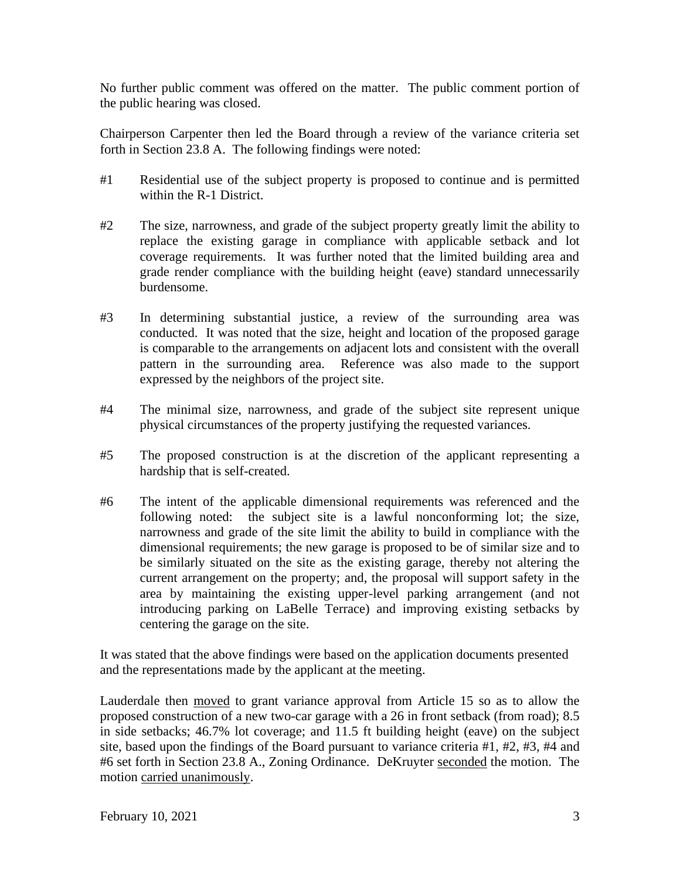No further public comment was offered on the matter. The public comment portion of the public hearing was closed.

Chairperson Carpenter then led the Board through a review of the variance criteria set forth in Section 23.8 A. The following findings were noted:

- #1 Residential use of the subject property is proposed to continue and is permitted within the R-1 District.
- #2 The size, narrowness, and grade of the subject property greatly limit the ability to replace the existing garage in compliance with applicable setback and lot coverage requirements. It was further noted that the limited building area and grade render compliance with the building height (eave) standard unnecessarily burdensome.
- #3 In determining substantial justice, a review of the surrounding area was conducted. It was noted that the size, height and location of the proposed garage is comparable to the arrangements on adjacent lots and consistent with the overall pattern in the surrounding area. Reference was also made to the support expressed by the neighbors of the project site.
- #4 The minimal size, narrowness, and grade of the subject site represent unique physical circumstances of the property justifying the requested variances.
- #5 The proposed construction is at the discretion of the applicant representing a hardship that is self-created.
- #6 The intent of the applicable dimensional requirements was referenced and the following noted: the subject site is a lawful nonconforming lot; the size, narrowness and grade of the site limit the ability to build in compliance with the dimensional requirements; the new garage is proposed to be of similar size and to be similarly situated on the site as the existing garage, thereby not altering the current arrangement on the property; and, the proposal will support safety in the area by maintaining the existing upper-level parking arrangement (and not introducing parking on LaBelle Terrace) and improving existing setbacks by centering the garage on the site.

It was stated that the above findings were based on the application documents presented and the representations made by the applicant at the meeting.

Lauderdale then moved to grant variance approval from Article 15 so as to allow the proposed construction of a new two-car garage with a 26 in front setback (from road); 8.5 in side setbacks; 46.7% lot coverage; and 11.5 ft building height (eave) on the subject site, based upon the findings of the Board pursuant to variance criteria #1, #2, #3, #4 and #6 set forth in Section 23.8 A., Zoning Ordinance. DeKruyter seconded the motion. The motion carried unanimously.